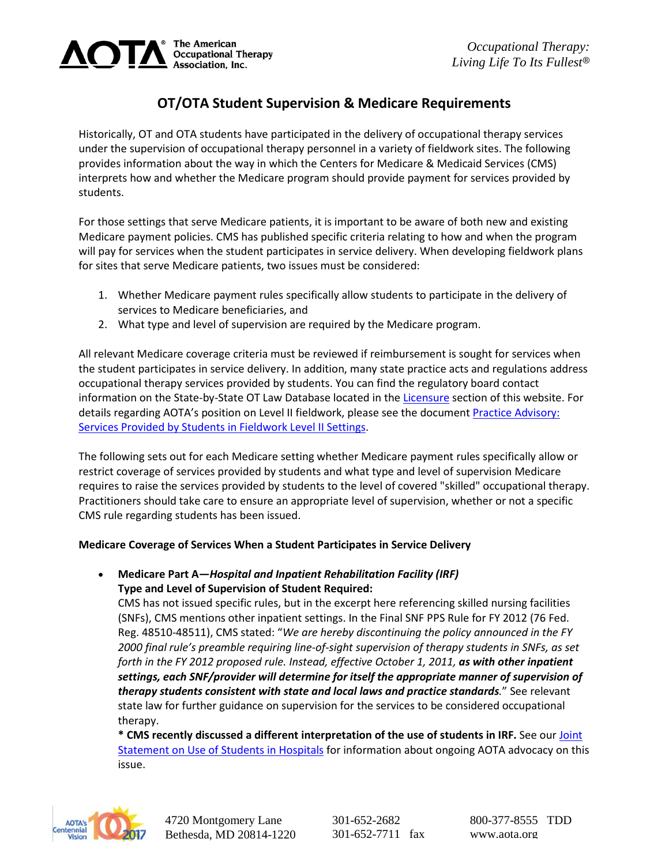

# **OT/OTA Student Supervision & Medicare Requirements**

Historically, OT and OTA students have participated in the delivery of occupational therapy services under the supervision of occupational therapy personnel in a variety of fieldwork sites. The following provides information about the way in which the Centers for Medicare & Medicaid Services (CMS) interprets how and whether the Medicare program should provide payment for services provided by students.

For those settings that serve Medicare patients, it is important to be aware of both new and existing Medicare payment policies. CMS has published specific criteria relating to how and when the program will pay for services when the student participates in service delivery. When developing fieldwork plans for sites that serve Medicare patients, two issues must be considered:

- 1. Whether Medicare payment rules specifically allow students to participate in the delivery of services to Medicare beneficiaries, and
- 2. What type and level of supervision are required by the Medicare program.

All relevant Medicare coverage criteria must be reviewed if reimbursement is sought for services when the student participates in service delivery. In addition, many state practice acts and regulations address occupational therapy services provided by students. You can find the regulatory board contact information on the State-by-State OT Law Database located in the [Licensure](http://www.aota.org/Practitioners/Licensure.aspx) section of this website. For details regarding AOTA's position on Level II fieldwork, please see the documen[t Practice Advisory:](http://www.aota.org/%7E/media/Corporate/Files/EducationCareers/Educators/Fieldwork/StuSuprvsn/Practice%20Advisory%20Services%20provided%20by%20students%20in%20FW%20Level%20II%20final.pdf)  [Services Provided by Students in Fieldwork Level II Settings.](http://www.aota.org/%7E/media/Corporate/Files/EducationCareers/Educators/Fieldwork/StuSuprvsn/Practice%20Advisory%20Services%20provided%20by%20students%20in%20FW%20Level%20II%20final.pdf)

The following sets out for each Medicare setting whether Medicare payment rules specifically allow or restrict coverage of services provided by students and what type and level of supervision Medicare requires to raise the services provided by students to the level of covered "skilled" occupational therapy. Practitioners should take care to ensure an appropriate level of supervision, whether or not a specific CMS rule regarding students has been issued.

# **Medicare Coverage of Services When a Student Participates in Service Delivery**

## • **Medicare Part A—***Hospital and Inpatient Rehabilitation Facility (IRF)* **Type and Level of Supervision of Student Required:**

CMS has not issued specific rules, but in the excerpt here referencing skilled nursing facilities (SNFs), CMS mentions other inpatient settings. In the Final SNF PPS Rule for FY 2012 (76 Fed. Reg. 48510-48511), CMS stated: "*We are hereby discontinuing the policy announced in the FY 2000 final rule's preamble requiring line-of-sight supervision of therapy students in SNFs, as set forth in the FY 2012 proposed rule. Instead, effective October 1, 2011, as with other inpatient settings, each SNF/provider will determine for itself the appropriate manner of supervision of therapy students consistent with state and local laws and practice standards.*" See relevant state law for further guidance on supervision for the services to be considered occupational therapy.

**\* CMS recently discussed a different interpretation of the use of students in IRF.** See our [Joint](http://www.aota.org/%7E/media/Corporate/Files/Publications/Joint-Statement-from-AOTA-APTA-ASHA-on-Use-of-Students-in-Hospitals.pdf)  [Statement on Use of Students in Hospitals](http://www.aota.org/%7E/media/Corporate/Files/Publications/Joint-Statement-from-AOTA-APTA-ASHA-on-Use-of-Students-in-Hospitals.pdf) for information about ongoing AOTA advocacy on this issue.



301-652-2682 301-652-7711 fax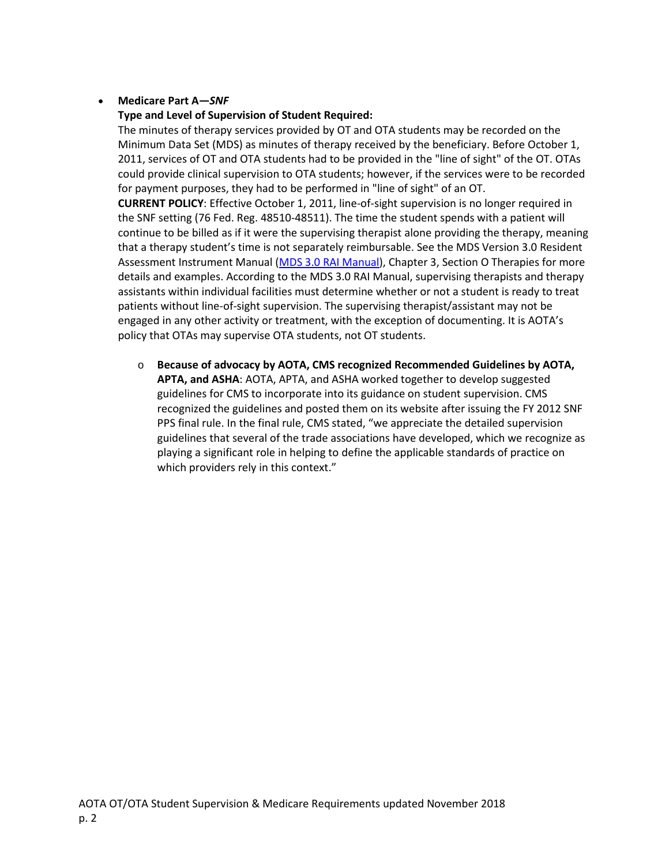## • **Medicare Part A—***SNF*

### **Type and Level of Supervision of Student Required:**

The minutes of therapy services provided by OT and OTA students may be recorded on the Minimum Data Set (MDS) as minutes of therapy received by the beneficiary. Before October 1, 2011, services of OT and OTA students had to be provided in the "line of sight" of the OT. OTAs could provide clinical supervision to OTA students; however, if the services were to be recorded for payment purposes, they had to be performed in "line of sight" of an OT.

**CURRENT POLICY**: Effective October 1, 2011, line-of-sight supervision is no longer required in the SNF setting (76 Fed. Reg. 48510-48511). The time the student spends with a patient will continue to be billed as if it were the supervising therapist alone providing the therapy, meaning that a therapy student's time is not separately reimbursable. See the MDS Version 3.0 Resident Assessment Instrument Manual [\(MDS 3.0 RAI Manual\)](http://www.cms.gov/Medicare/Quality-Initiatives-Patient-Assessment-Instruments/NursingHomeQualityInits/MDS30RAIManual.html), Chapter 3, Section O Therapies for more details and examples. According to the MDS 3.0 RAI Manual, supervising therapists and therapy assistants within individual facilities must determine whether or not a student is ready to treat patients without line-of-sight supervision. The supervising therapist/assistant may not be engaged in any other activity or treatment, with the exception of documenting. It is AOTA's policy that OTAs may supervise OTA students, not OT students.

o **Because of advocacy by AOTA, CMS recognized Recommended Guidelines by AOTA, APTA, and ASHA**: AOTA, APTA, and ASHA worked together to develop suggested guidelines for CMS to incorporate into its guidance on student supervision. CMS recognized the guidelines and posted them on its website after issuing the FY 2012 SNF PPS final rule. In the final rule, CMS stated, "we appreciate the detailed supervision guidelines that several of the trade associations have developed, which we recognize as playing a significant role in helping to define the applicable standards of practice on which providers rely in this context."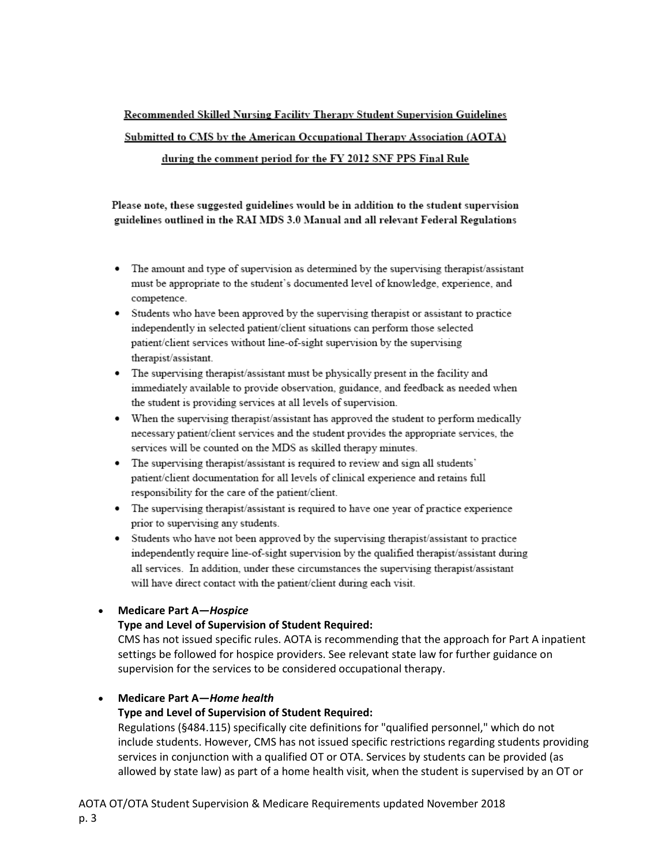# Recommended Skilled Nursing Facility Therapy Student Supervision Guidelines Submitted to CMS by the American Occupational Therapy Association (AOTA) during the comment period for the FY 2012 SNF PPS Final Rule

Please note, these suggested guidelines would be in addition to the student supervision guidelines outlined in the RAI MDS 3.0 Manual and all relevant Federal Regulations

- The amount and type of supervision as determined by the supervising therapist/assistant must be appropriate to the student's documented level of knowledge, experience, and competence.
- Students who have been approved by the supervising therapist or assistant to practice independently in selected patient/client situations can perform those selected patient/client services without line-of-sight supervision by the supervising therapist/assistant.
- The supervising therapist/assistant must be physically present in the facility and immediately available to provide observation, guidance, and feedback as needed when the student is providing services at all levels of supervision.
- When the supervising therapist/assistant has approved the student to perform medically necessary patient/client services and the student provides the appropriate services, the services will be counted on the MDS as skilled therapy minutes.
- The supervising therapist/assistant is required to review and sign all students' patient/client documentation for all levels of clinical experience and retains full responsibility for the care of the patient/client.
- The supervising therapist/assistant is required to have one year of practice experience prior to supervising any students.
- Students who have not been approved by the supervising therapist/assistant to practice independently require line-of-sight supervision by the qualified therapist/assistant during all services. In addition, under these circumstances the supervising therapist/assistant will have direct contact with the patient/client during each visit.

### • **Medicare Part A—***Hospice*

### **Type and Level of Supervision of Student Required:**

CMS has not issued specific rules. AOTA is recommending that the approach for Part A inpatient settings be followed for hospice providers. See relevant state law for further guidance on supervision for the services to be considered occupational therapy.

### • **Medicare Part A—***Home health*

### **Type and Level of Supervision of Student Required:**

Regulations (§484.115) specifically cite definitions for "qualified personnel," which do not include students. However, CMS has not issued specific restrictions regarding students providing services in conjunction with a qualified OT or OTA. Services by students can be provided (as allowed by state law) as part of a home health visit, when the student is supervised by an OT or

AOTA OT/OTA Student Supervision & Medicare Requirements updated November 2018